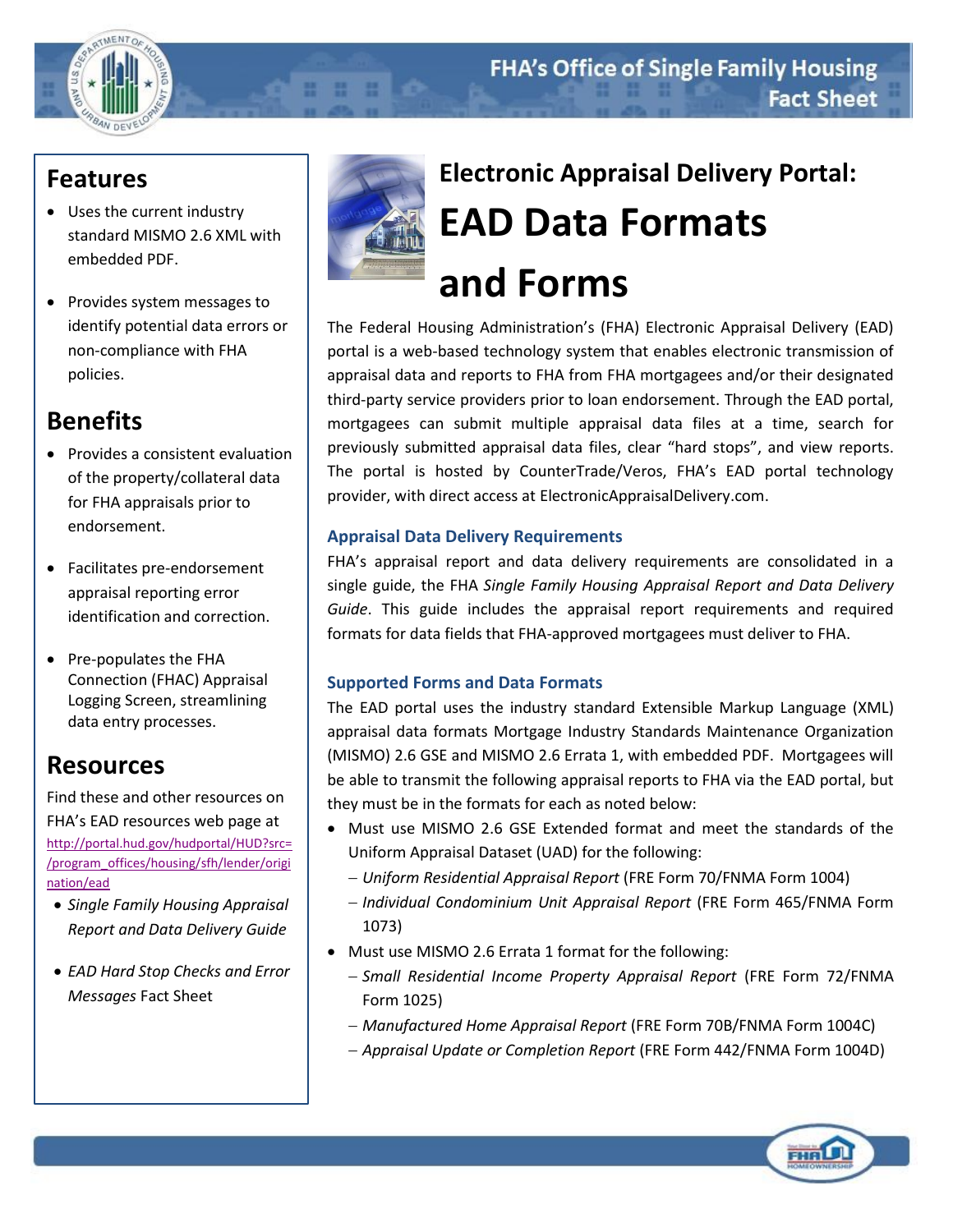## **Features**

- Uses the current industry standard MISMO 2.6 XML with embedded PDF.
- Provides system messages to identify potential data errors or non-compliance with FHA policies.

# **Benefits**

- Provides a consistent evaluation of the property/collateral data for FHA appraisals prior to endorsement.
- Facilitates pre-endorsement appraisal reporting error identification and correction.
- Pre-populates the FHA Connection (FHAC) Appraisal Logging Screen, streamlining data entry processes.

# **Resources**

Find these and other resources on FHA's EAD resources web page at [http://portal.hud.gov/hudportal/HUD?src=](http://portal.hud.gov/hudportal/HUD?src=/program_offices/housing/sfh/lender/origination/ead) [/program\\_offices/housing/sfh/lender/origi](http://portal.hud.gov/hudportal/HUD?src=/program_offices/housing/sfh/lender/origination/ead) [nation/ead](http://portal.hud.gov/hudportal/HUD?src=/program_offices/housing/sfh/lender/origination/ead)

- *Single Family Housing Appraisal Report and Data Delivery Guide*
- *EAD Hard Stop Checks and Error Messages* Fact Sheet



. . .

# **Electronic Appraisal Delivery Portal: EAD Data Formats and Forms**

The Federal Housing Administration's (FHA) Electronic Appraisal Delivery (EAD) portal is a web-based technology system that enables electronic transmission of appraisal data and reports to FHA from FHA mortgagees and/or their designated third-party service providers prior to loan endorsement. Through the EAD portal, mortgagees can submit multiple appraisal data files at a time, search for previously submitted appraisal data files, clear "hard stops", and view reports. The portal is hosted by CounterTrade/Veros, FHA's EAD portal technology provider, with direct access at ElectronicAppraisalDelivery.com.

## **Appraisal Data Delivery Requirements**

FHA's appraisal report and data delivery requirements are consolidated in a single guide, the FHA *Single Family Housing Appraisal Report and Data Delivery Guide*. This guide includes the appraisal report requirements and required formats for data fields that FHA-approved mortgagees must deliver to FHA.

## **Supported Forms and Data Formats**

The EAD portal uses the industry standard Extensible Markup Language (XML) appraisal data formats Mortgage Industry Standards Maintenance Organization (MISMO) 2.6 GSE and MISMO 2.6 Errata 1, with embedded PDF. Mortgagees will be able to transmit the following appraisal reports to FHA via the EAD portal, but they must be in the formats for each as noted below:

- Must use MISMO 2.6 GSE Extended format and meet the standards of the Uniform Appraisal Dataset (UAD) for the following:
	- *Uniform Residential Appraisal Report* (FRE Form 70/FNMA Form 1004)
	- *Individual Condominium Unit Appraisal Report* (FRE Form 465/FNMA Form 1073)
- Must use MISMO 2.6 Errata 1 format for the following:
	- *Small Residential Income Property Appraisal Report* (FRE Form 72/FNMA Form 1025)
	- *Manufactured Home Appraisal Report* (FRE Form 70B/FNMA Form 1004C)
	- *Appraisal Update or Completion Report* (FRE Form 442/FNMA Form 1004D)